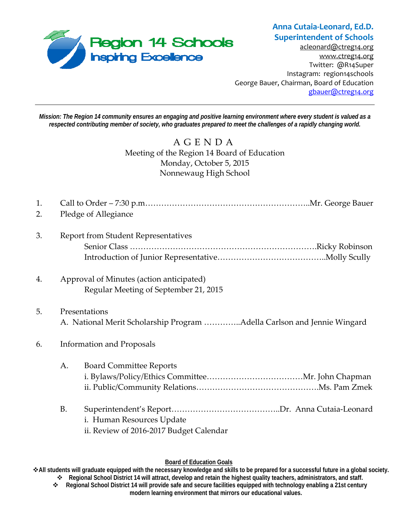

**Anna Cutaia‐Leonard, Ed.D. Superintendent of Schools**

acleonard@ctreg14.org www.ctreg14.org Twitter: @R14Super Instagram: region14schools George Bauer, Chairman, Board of Education gbauer@ctreg14.org

*Mission: The Region 14 community ensures an engaging and positive learning environment where every student is valued as a respected contributing member of society, who graduates prepared to meet the challenges of a rapidly changing world.* 

> AGENDA Meeting of the Region 14 Board of Education Monday, October 5, 2015 Nonnewaug High School

| 1.<br>2. |                                  | Pledge of Allegiance                                                                     |  |
|----------|----------------------------------|------------------------------------------------------------------------------------------|--|
| 3.       |                                  | <b>Report from Student Representatives</b>                                               |  |
| 4.       |                                  | Approval of Minutes (action anticipated)<br>Regular Meeting of September 21, 2015        |  |
| 5.       |                                  | Presentations<br>A. National Merit Scholarship Program Adella Carlson and Jennie Wingard |  |
| 6.       | <b>Information and Proposals</b> |                                                                                          |  |
|          | A.                               | <b>Board Committee Reports</b>                                                           |  |
|          | <b>B.</b>                        | i. Human Resources Update<br>ii. Review of 2016-2017 Budget Calendar                     |  |

#### **Board of Education Goals**

**All students will graduate equipped with the necessary knowledge and skills to be prepared for a successful future in a global society. Regional School District 14 will attract, develop and retain the highest quality teachers, administrators, and staff.** 

 **Regional School District 14 will provide safe and secure facilities equipped with technology enabling a 21st century modern learning environment that mirrors our educational values.**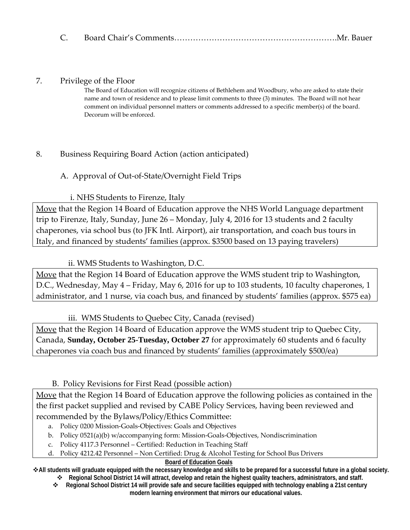|--|--|--|

### 7. Privilege of the Floor

The Board of Education will recognize citizens of Bethlehem and Woodbury, who are asked to state their name and town of residence and to please limit comments to three (3) minutes. The Board will not hear comment on individual personnel matters or comments addressed to a specific member(s) of the board. Decorum will be enforced.

## 8. Business Requiring Board Action (action anticipated)

# A. Approval of Out‐of‐State/Overnight Field Trips

## i. NHS Students to Firenze, Italy

Move that the Region 14 Board of Education approve the NHS World Language department trip to Firenze, Italy, Sunday, June 26 – Monday, July 4, 2016 for 13 students and 2 faculty chaperones, via school bus (to JFK Intl. Airport), air transportation, and coach bus tours in Italy, and financed by students' families (approx. \$3500 based on 13 paying travelers)

## ii. WMS Students to Washington, D.C.

Move that the Region 14 Board of Education approve the WMS student trip to Washington, D.C., Wednesday, May 4 – Friday, May 6, 2016 for up to 103 students, 10 faculty chaperones, 1 administrator, and 1 nurse, via coach bus, and financed by students' families (approx. \$575 ea)

## iii. WMS Students to Quebec City, Canada (revised)

Move that the Region 14 Board of Education approve the WMS student trip to Quebec City, Canada, **Sunday, October 25-Tuesday, October 27** for approximately 60 students and 6 faculty chaperones via coach bus and financed by students' families (approximately \$500/ea)

## B. Policy Revisions for First Read (possible action)

Move that the Region 14 Board of Education approve the following policies as contained in the the first packet supplied and revised by CABE Policy Services, having been reviewed and recommended by the Bylaws/Policy/Ethics Committee:

- a. Policy 0200 Mission‐Goals‐Objectives: Goals and Objectives
- b. Policy 0521(a)(b) w/accompanying form: Mission‐Goals‐Objectives, Nondiscrimination
- c. Policy 4117.3 Personnel Certified: Reduction in Teaching Staff
- d. Policy 4212.42 Personnel Non Certified: Drug & Alcohol Testing for School Bus Drivers

#### **Board of Education Goals**

**All students will graduate equipped with the necessary knowledge and skills to be prepared for a successful future in a global society. Regional School District 14 will attract, develop and retain the highest quality teachers, administrators, and staff.** 

 **Regional School District 14 will provide safe and secure facilities equipped with technology enabling a 21st century modern learning environment that mirrors our educational values.**